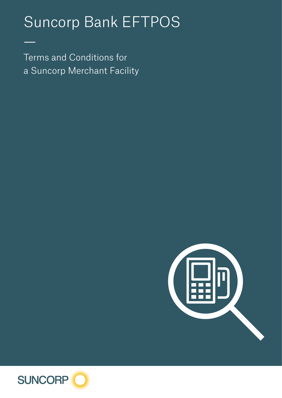# Suncorp Bank EFTPOS

Terms and Conditions for a Suncorp Merchant Facility

—



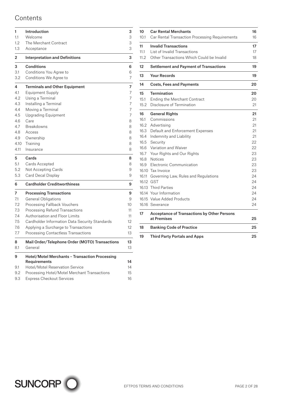# **Contents**

| 1              | Introduction                                                                     | 3  |
|----------------|----------------------------------------------------------------------------------|----|
| 1.1            | Welcome                                                                          | 3  |
| $1.2\,$        | The Merchant Contract                                                            | 3  |
| 1.3            | Acceptance                                                                       | 3  |
| $\overline{2}$ | <b>Interpretation and Definitions</b>                                            | 3  |
| 3              | <b>Conditions</b>                                                                | 6  |
| 3.1            | Conditions You Agree to                                                          | 6  |
| 3.2            | Conditions We Agree to                                                           | 7  |
| 4              | <b>Terminals and Other Equipment</b>                                             | 7  |
| 4.1            | <b>Equipment Supply</b>                                                          | 7  |
| 4.2            | Using a Terminal                                                                 | 7  |
| 4.3            | Installing a Terminal                                                            | 7  |
| 4.4            | Moving a Terminal                                                                | 7  |
| 4.5            | <b>Upgrading Equipment</b>                                                       | 7  |
| 4.6            | Care                                                                             | 8  |
| 4.7            | <b>Breakdowns</b>                                                                | 8  |
| 4.8            | Access                                                                           | 8  |
| 4.9            | Ownership                                                                        | 8  |
| 4.10           | Training                                                                         | 8  |
| 4.11           | Insurance                                                                        | 8  |
| 5              | Cards                                                                            | 8  |
| 5.1            | Cards Accepted                                                                   | 8  |
| 5.2            | Not Accepting Cards                                                              | 9  |
| 5.3            | Card Decal Display                                                               | 9  |
| 6              | <b>Cardholder Creditworthiness</b>                                               | 9  |
| 7              | <b>Processing Transactions</b>                                                   | 9  |
| 7.1            | <b>General Obligations</b>                                                       | 9  |
| 7.2            | Processing Fallback Vouchers                                                     | 10 |
| 7.3            | Processing Refund Transactions                                                   | 11 |
| 7.4            | Authorisation and Floor Limits                                                   | 11 |
| 7.5            | Cardholder Information Data Security Standards                                   | 12 |
| 7.6            |                                                                                  |    |
|                | Applying a Surcharge to Transactions                                             | 12 |
| 7.7            | Processing Contactless Transactions                                              | 13 |
| 8              | Mail Order/Telephone Order (MOTO) Transactions                                   | 13 |
| 8.1            | General                                                                          | 13 |
| 9              | <b>Hotel/Motel Merchants - Transaction Processing</b>                            |    |
|                | <b>Requirements</b>                                                              | 14 |
| 9.1            | Hotel/Motel Reservation Service                                                  | 14 |
| 9.2<br>9.3     | Processing Hotel/Motel Merchant Transactions<br><b>Express Checkout Services</b> | 15 |

| 10    | <b>Car Rental Merchants</b>                                       | 16 |
|-------|-------------------------------------------------------------------|----|
| 101   | Car Rental Transaction Processing Requirements                    | 16 |
| 11    | <b>Invalid Transactions</b>                                       | 17 |
| 11.1  | List of Invalid Transactions                                      | 17 |
| 11.2  | Other Transactions Which Could be Invalid                         | 18 |
| 12    | <b>Settlement and Payment of Transactions</b>                     | 19 |
| 13    | <b>Your Records</b>                                               | 19 |
| 14    | <b>Costs, Fees and Payments</b>                                   | 20 |
| 15    | <b>Termination</b>                                                | 20 |
| 15.1  | <b>Ending the Merchant Contract</b>                               | 20 |
| 15.2  | Disclosure of Termination                                         | 21 |
| 16    | <b>General Rights</b>                                             | 21 |
| 16.1  | Commissions                                                       | 21 |
| 16.2  | Advertising                                                       | 21 |
| 16.3  | Default and Enforcement Expenses                                  | 21 |
| 16.4  | Indemnity and Liability                                           | 21 |
| 16.5  | Security                                                          | 22 |
| 16.6  | Variation and Waiver                                              | 22 |
| 16.7  | Your Rights and Our Rights                                        | 23 |
| 16.8  | <b>Notices</b>                                                    | 23 |
| 16.9  | Electronic Communication                                          | 23 |
|       | 16.10 Tax Invoice                                                 | 23 |
| 16.11 | Governing Law, Rules and Regulations                              | 24 |
|       | 16.12 GST                                                         | 24 |
|       | 16.13 Third Parties                                               | 24 |
|       | 16.14 Your Information                                            | 24 |
|       | 16.15 Value Added Products                                        | 24 |
|       | 16.16 Severance                                                   | 24 |
| 17    | <b>Acceptance of Transactions by Other Persons</b><br>at Premises | 25 |
| 18    | <b>Banking Code of Practice</b>                                   | 25 |
| 19    | <b>Third Party Portals and Apps</b>                               | 25 |
|       |                                                                   |    |

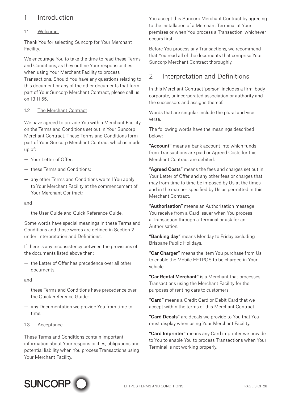## <span id="page-2-0"></span>1 Introduction

#### 1.1 Welcome

Thank You for selecting Suncorp for Your Merchant Facility.

We encourage You to take the time to read these Terms and Conditions, as they outline Your responsibilities when using Your Merchant Facility to process Transactions. Should You have any questions relating to this document or any of the other documents that form part of Your Suncorp Merchant Contract, please call us on 13 11 55.

#### 1.2 The Merchant Contract

We have agreed to provide You with a Merchant Facility on the Terms and Conditions set out in Your Suncorp Merchant Contract. These Terms and Conditions form part of Your Suncorp Merchant Contract which is made up of:

- Your Letter of Offer;
- these Terms and Conditions;
- any other Terms and Conditions we tell You apply to Your Merchant Facility at the commencement of Your Merchant Contract;

and

— the User Guide and Quick Reference Guide.

Some words have special meanings in these Terms and Conditions and those words are defined in Section 2 under 'Interpretation and Definitions'.

If there is any inconsistency between the provisions of the documents listed above then:

— the Letter of Offer has precedence over all other documents;

and

- these Terms and Conditions have precedence over the Quick Reference Guide;
- any Documentation we provide You from time to time.

#### 1.3 Acceptance

These Terms and Conditions contain important information about Your responsibilities, obligations and potential liability when You process Transactions using Your Merchant Facility.

You accept this Suncorp Merchant Contract by agreeing to the installation of a Merchant Terminal at Your premises or when You process a Transaction, whichever occurs first.

Before You process any Transactions, we recommend that You read all of the documents that comprise Your Suncorp Merchant Contract thoroughly.

## 2 Interpretation and Definitions

In this Merchant Contract 'person' includes a firm, body corporate, unincorporated association or authority and the successors and assigns thereof.

Words that are singular include the plural and vice versa.

The following words have the meanings described below:

"Account" means a bank account into which funds from Transactions are paid or Agreed Costs for this Merchant Contract are debited.

"Agreed Costs" means the fees and charges set out in Your Letter of Offer and any other fees or charges that may from time to time be imposed by Us at the times and in the manner specified by Us as permitted in this Merchant Contract.

"Authorisation" means an Authorisation message You receive from a Card Issuer when You process a Transaction through a Terminal or ask for an Authorisation.

"Banking day" means Monday to Friday excluding Brisbane Public Holidays.

"Car Charger" means the item You purchase from Us to enable the Mobile EFTPOS to be charged in Your vehicle.

"Car Rental Merchant" is a Merchant that processes Transactions using the Merchant Facility for the purposes of renting cars to customers.

"Card" means a Credit Card or Debit Card that we accept within the terms of this Merchant Contract.

"Card Decals" are decals we provide to You that You must display when using Your Merchant Facility.

"Card Imprinter" means any Card imprinter we provide to You to enable You to process Transactions when Your Terminal is not working properly.

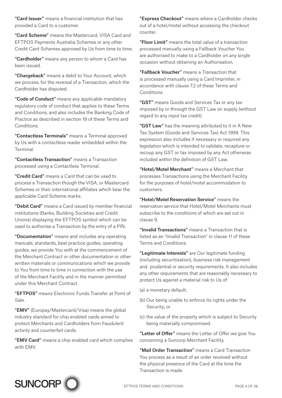"Card Issuer" means a financial institution that has provided a Card to a customer.

"Card Scheme" means the Mastercard, VISA Card and EFTPOS Payments Australia Schemes or any other Credit Card Schemes approved by Us from time to time.

"Cardholder" means any person to whom a Card has been issued.

"Chargeback" means a debit to Your Account, which we process, for the reversal of a Transaction, which the Cardholder has disputed.

"Code of Conduct" means any applicable mandatory regulatory code of conduct that applies to these Terms and Conditions, and also includes the Banking Code of Practice as described in section 18 of these Terms and Conditions.

"Contactless Terminals" means a Terminal approved by Us with a contactless reader embedded within the **Terminal** 

"Contactless Transaction" means a Transaction processed using a Contactless Terminal.

"Credit Card" means a Card that can be used to process a Transaction though the VISA, or Mastercard Schemes or their international affiliates which bear the applicable Card Scheme marks.

"Debit Card" means a Card issued by member financial institutions (Banks, Building Societies and Credit Unions) displaying the EFTPOS symbol which can be used to authorise a Transaction by the entry of a PIN.

"Documentation" means and includes any operating manuals, standards, best practice guides, operating guides, we provide You with at the commencement of the Merchant Contract or other documentation or other written materials or communications which we provide to You from time to time in connection with the use of the Merchant Facility and in the manner permitted under this Merchant Contract.

"EFTPOS" means Electronic Funds Transfer at Point of Sale.

"EMV" (Europay/Mastercard/Visa) means the global industry standard for chip enabled cards aimed to protect Merchants and Cardholders from fraudulent activity and counterfeit cards.

"EMV Card" means a chip enabled card which complies with EMV.

"Express Checkout" means where a Cardholder checks out of a hotel/motel without accessing the checkout counter.

"Floor Limit" means the total value of a transaction processed manually using a Fallback Voucher You are authorised to make to a Cardholder on any single occasion without obtaining an Authorisation.

"Fallback Voucher" means a Transaction that is processed manually using a Card Imprinter, in accordance with clause 7.2 of these Terms and **Conditions** 

"GST" means Goods and Services Tax or any tax imposed by or through the GST Law on supply (without regard to any input tax credit).

"GST Law" has the meaning attributed to it in A New Tax System (Goods and Services Tax) Act 1999. This expression also includes if necessary or required any legislation which is intended to validate, recapture or recoup any GST or tax imposed by any Act otherwise included within the definition of GST Law.

"Hotel/Motel Merchant" means a Merchant that processes Transactions using the Merchant Facility for the purposes of hotel/motel accommodation to customers.

"Hotel/Motel Reservation Service" means the reservation service that Hotel/Motel Merchants must subscribe to the conditions of which are set out in clause 9.

"Invalid Transactions" means a Transaction that is listed as an "Invalid Transaction" in clause 11 of these Terms and Conditions.

"Legitimate Interests" are Our legitimate funding (including securitisation), business risk management and prudential or security requirements. It also includes any other requirements that are reasonably necessary to protect Us against a material risk to Us of:

- (a) a monetary default;
- (b) Our being unable to enforce its rights under the Security; or
- (c) the value of the property which is subject to Security being materially compromised.

"Letter of Offer" means the Letter of Offer we give You concerning a Suncorp Merchant Facility.

"Mail Order Transaction" means a Card Transaction You process as a result of an order received without the physical presence of the Card at the time the Transaction is made.

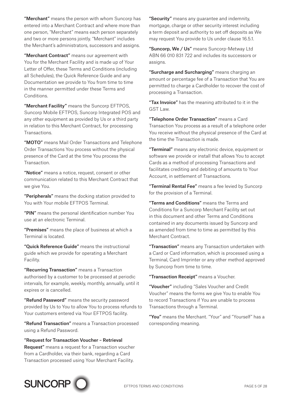"Merchant" means the person with whom Suncorp has entered into a Merchant Contract and where more than one person, "Merchant" means each person separately and two or more persons jointly. "Merchant" includes the Merchant's administrators, successors and assigns.

"Merchant Contract" means our agreement with You for the Merchant Facility and is made up of Your Letter of Offer, these Terms and Conditions (including all Schedules), the Quick Reference Guide and any Documentation we provide to You from time to time in the manner permitted under these Terms and Conditions.

"Merchant Facility" means the Suncorp EFTPOS, Suncorp Mobile EFTPOS, Suncorp Integrated POS and any other equipment as provided by Us or a third party in relation to this Merchant Contract, for processing Transactions.

"MOTO" means Mail Order Transactions and Telephone Order Transactions You process without the physical presence of the Card at the time You process the Transaction.

"Notice" means a notice, request, consent or other communication related to this Merchant Contract that we give You.

"Peripherals" means the docking station provided to You with Your mobile EFTPOS Terminal.

"PIN" means the personal identification number You use at an electronic Terminal.

"Premises" means the place of business at which a Terminal is located.

"Quick Reference Guide" means the instructional guide which we provide for operating a Merchant Facility.

"Recurring Transaction" means a Transaction authorised by a customer to be processed at periodic intervals, for example, weekly, monthly, annually, until it expires or is cancelled.

"Refund Password" means the security password provided by Us to You to allow You to process refunds to Your customers entered via Your EFTPOS facility.

"Refund Transaction" means a Transaction processed using a Refund Password.

"Request for Transaction Voucher – Retrieval Request" means a request for a Transaction voucher from a Cardholder, via their bank, regarding a Card Transaction processed using Your Merchant Facility.

"Security" means any quarantee and indemnity, mortgage, charge or other security interest including a term deposit and authority to set off deposits as We may request You provide to Us under clause 16.5.1.

"Suncorp, We / Us" means Suncorp-Metway Ltd ABN 66 010 831 722 and includes its successors or assigns.

"Surcharge and Surcharging" means charging an amount or percentage fee of a Transaction that You are permitted to charge a Cardholder to recover the cost of processing a Transaction.

"Tax Invoice" has the meaning attributed to it in the GST Law.

"Telephone Order Transaction" means a Card Transaction You process as a result of a telephone order You receive without the physical presence of the Card at the time the Transaction is made.

"Terminal" means any electronic device, equipment or software we provide or install that allows You to accept Cards as a method of processing Transactions and facilitates crediting and debiting of amounts to Your Account, in settlement of Transactions.

"Terminal Rental Fee" means a fee levied by Suncorp for the provision of a Terminal.

"Terms and Conditions" means the Terms and Conditions for a Suncorp Merchant Facility set out in this document and other Terms and Conditions contained in any documents issued by Suncorp and as amended from time to time as permitted by this Merchant Contract.

"Transaction" means any Transaction undertaken with a Card or Card information, which is processed using a Terminal, Card Imprinter or any other method approved by Suncorp from time to time.

"Transaction Receipt" means a Voucher.

"Voucher" including "Sales Voucher and Credit Voucher" means the forms we give You to enable You to record Transactions if You are unable to process Transactions through a Terminal.

"You" means the Merchant. "Your" and "Yourself" has a corresponding meaning.

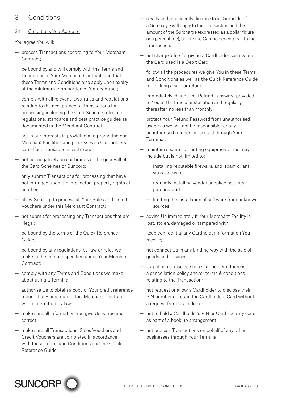# <span id="page-5-0"></span>3 Conditions

#### 3.1 Conditions You Agree to

You agree You will:

- process Transactions according to Your Merchant Contract;
- be bound by and will comply with the Terms and Conditions of Your Merchant Contract, and that these Terms and Conditions also apply upon expiry of the minimum term portion of Your contract;
- comply with all relevant laws, rules and regulations relating to the acceptance of Transactions for processing including the Card Scheme rules and regulations, standards and best practice guides as documented in the Merchant Contract;
- act in our interests in providing and promoting our Merchant Facilities and processes so Cardholders can effect Transactions with You;
- not act negatively on our brands or the goodwill of the Card Schemes or Suncorp;
- only submit Transactions for processing that have not infringed upon the intellectual property rights of another;
- allow Suncorp to process all Your Sales and Credit Vouchers under this Merchant Contract;
- not submit for processing any Transactions that are illegal;
- be bound by the terms of the Quick Reference Guide;
- be bound by any regulations, by-law or rules we make in the manner specified under Your Merchant Contract;
- comply with any Terms and Conditions we make about using a Terminal;
- authorise Us to obtain a copy of Your credit reference report at any time during this Merchant Contract, where permitted by law;
- make sure all information You give Us is true and correct;
- make sure all Transactions, Sales Vouchers and Credit Vouchers are completed in accordance with these Terms and Conditions and the Quick Reference Guide;
- clearly and prominently disclose to a Cardholder if a Surcharge will apply to the Transaction and the amount of the Surcharge (expressed as a dollar figure or a percentage), before the Cardholder enters into the Transaction;
- not charge a fee for giving a Cardholder cash where the Card used is a Debit Card;
- follow all the procedures we give You in these Terms and Conditions as well as the Quick Reference Guide for making a sale or refund;
- immediately change the Refund Password provided to You at the time of installation and regularly thereafter, no less than monthly;
- protect Your Refund Password from unauthorised usage as we will not be responsible for any unauthorised refunds processed through Your Terminal;
- maintain secure computing equipment. This may include but is not limited to:
	- installing reputable firewalls, anti-spam or antivirus software;
	- regularly installing vendor supplied security patches; and
	- limiting the installation of software from unknown sources;
- advise Us immediately if Your Merchant Facility is lost, stolen, damaged or tampered with;
- keep confidential any Cardholder information You receive;
- not connect Us in any binding way with the sale of goods and services.
- if applicable, disclose to a Cardholder if there is a cancellation policy and/or terms & conditions relating to the Transaction;
- not request or allow a Cardholder to disclose their PIN number or retain the Cardholders Card without a request from Us to do so;
- not to hold a Cardholder's PIN or Card security code as part of a book up arrangement;
- not process Transactions on behalf of any other businesses through Your Terminal;

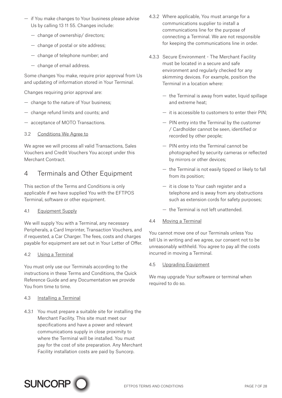- <span id="page-6-0"></span>— if You make changes to Your business please advise Us by calling 13 11 55. Changes include:
	- change of ownership/ directors;
	- change of postal or site address;
	- change of telephone number; and
	- change of email address.

Some changes You make, require prior approval from Us and updating of information stored in Your Terminal.

Changes requiring prior approval are:

- change to the nature of Your business;
- change refund limits and counts; and
- acceptance of MOTO Transactions.
- 3.2 Conditions We Agree to

We agree we will process all valid Transactions, Sales Vouchers and Credit Vouchers You accept under this Merchant Contract.

# 4 Terminals and Other Equipment

This section of the Terms and Conditions is only applicable if we have supplied You with the EFTPOS Terminal, software or other equipment.

4.1 Equipment Supply

We will supply You with a Terminal, any necessary Peripherals, a Card Imprinter, Transaction Vouchers, and if requested, a Car Charger. The fees, costs and charges payable for equipment are set out in Your Letter of Offer.

#### 4.2 Using a Terminal

You must only use our Terminals according to the instructions in these Terms and Conditions, the Quick Reference Guide and any Documentation we provide You from time to time.

#### 4.3 Installing a Terminal

4.3.1 You must prepare a suitable site for installing the Merchant Facility. This site must meet our specifications and have a power and relevant communications supply in close proximity to where the Terminal will be installed. You must pay for the cost of site preparation. Any Merchant Facility installation costs are paid by Suncorp.

- 4.3.2 Where applicable, You must arrange for a communications supplier to install a communications line for the purpose of connecting a Terminal. We are not responsible for keeping the communications line in order.
- 4.3.3 Secure Environment The Merchant Facility must be located in a secure and safe environment and regularly checked for any skimming devices. For example, position the Terminal in a location where:
	- the Terminal is away from water, liquid spillage and extreme heat;
	- it is accessible to customers to enter their PIN;
	- PIN entry into the Terminal by the customer / Cardholder cannot be seen, identified or recorded by other people;
	- PIN entry into the Terminal cannot be photographed by security cameras or reflected by mirrors or other devices;
	- the Terminal is not easily tipped or likely to fall from its position;
	- it is close to Your cash register and a telephone and is away from any obstructions such as extension cords for safety purposes;
	- the Terminal is not left unattended.

#### 4.4 Moving a Terminal

You cannot move one of our Terminals unless You tell Us in writing and we agree, our consent not to be unreasonably withheld. You agree to pay all the costs incurred in moving a Terminal.

#### 4.5 Upgrading Equipment

We may upgrade Your software or terminal when required to do so.

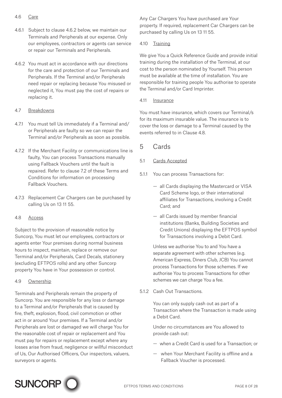- <span id="page-7-0"></span>4.6 Care
- 4.6.1 Subject to clause 4.6.2 below, we maintain our Terminals and Peripherals at our expense. Only our employees, contractors or agents can service or repair our Terminals and Peripherals.
- 4.6.2 You must act in accordance with our directions for the care and protection of our Terminals and Peripherals. If the Terminal and/or Peripherals need repair or replacing because You misused or neglected it, You must pay the cost of repairs or replacing it.
- 4.7 Breakdowns
- 4.7.1 You must tell Us immediately if a Terminal and/ or Peripherals are faulty so we can repair the Terminal and/or Peripherals as soon as possible.
- 4.7.2 If the Merchant Facility or communications line is faulty, You can process Transactions manually using Fallback Vouchers until the fault is repaired. Refer to clause 7.2 of these Terms and Conditions for information on processing Fallback Vouchers.
- 4.7.3 Replacement Car Chargers can be purchased by calling Us on 13 11 55.
- 4.8 Access

Subject to the provision of reasonable notice by Suncorp, You must let our employees, contractors or agents enter Your premises during normal business hours to inspect, maintain, replace or remove our Terminal and/or Peripherals, Card Decals, stationery (excluding EFTPOS rolls) and any other Suncorp property You have in Your possession or control.

#### 4.9 Ownership

Terminals and Peripherals remain the property of Suncorp. You are responsible for any loss or damage to a Terminal and/or Peripherals that is caused by fire, theft, explosion, flood, civil commotion or other act in or around Your premises. If a Terminal and/or Peripherals are lost or damaged we will charge You for the reasonable cost of repair or replacement and You must pay for repairs or replacement except where any losses arise from fraud, negligence or willful misconduct of Us, Our Authorised Officers, Our inspectors, valuers, surveyors or agents.

Any Car Chargers You have purchased are Your property. If required, replacement Car Chargers can be purchased by calling Us on 13 11 55.

#### 4.10 Training

We give You a Quick Reference Guide and provide initial training during the installation of the Terminal, at our cost to the person nominated by Yourself. This person must be available at the time of installation. You are responsible for training people You authorise to operate the Terminal and/or Card Imprinter.

#### 4.11 Insurance

You must have insurance, which covers our Terminal/s for its maximum insurable value. The insurance is to cover the loss or damage to a Terminal caused by the events referred to in Clause 4.8.

### 5 Cards

- 5.1 Cards Accepted
- 5.1.1 You can process Transactions for:
	- all Cards displaying the Mastercard or VISA Card Scheme logo, or their international affiliates for Transactions, involving a Credit Card; and
	- all Cards issued by member financial institutions (Banks, Building Societies and Credit Unions) displaying the EFTPOS symbol for Transactions involving a Debit Card.

Unless we authorise You to and You have a separate agreement with other schemes (e.g. American Express, Diners Club, JCB) You cannot process Transactions for those schemes. If we authorise You to process Transactions for other schemes we can charge You a fee.

5.1.2 Cash Out Transactions.

You can only supply cash out as part of a Transaction where the Transaction is made using a Debit Card.

Under no circumstances are You allowed to provide cash out:

- when a Credit Card is used for a Transaction; or
- when Your Merchant Facility is offline and a Fallback Voucher is processed.

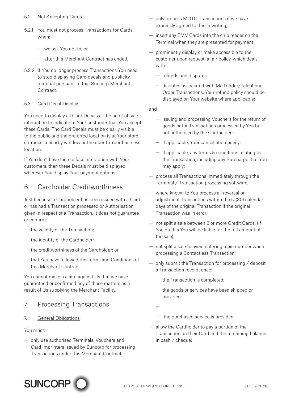#### <span id="page-8-0"></span>5.2 Not Accepting Cards

- 5.2.1 You must not process Transactions for Cards when:
	- we ask You not to; or
	- after this Merchant Contract has ended.
- 5.2.2 If You no longer process Transactions You need to stop displaying Card decals and publicity material pursuant to this Suncorp Merchant Contract.

#### 5.3 Card Decal Display

You need to display all Card Decals at the point of sale interaction to indicate to Your customer that You accept these Cards. The Card Decals must be clearly visible to the public and the preferred location is at Your store entrance, a nearby window or the door to Your business location.

If You don't have face to face interaction with Your customers, then these Decals must be displayed wherever You display Your payment options.

## 6 Cardholder Creditworthiness

Just because a Cardholder has been issued with a Card or has had a Transaction processed or Authorisation given in respect of a Transaction, it does not guarantee or confirm:

- the validity of the Transaction;
- the identity of the Cardholder;
- the creditworthiness of the Cardholder; or
- that You have followed the Terms and Conditions of this Merchant Contract.

You cannot make a claim against Us that we have guaranteed or confirmed any of these matters as a result of Us supplying the Merchant Facility.

## 7 Processing Transactions

7.1 General Obligations

**SUNCORP** 

You must:

— only use authorised Terminals, Vouchers and Card Imprinters issued by Suncorp for processing Transactions under this Merchant Contract;

- only process MOTO Transactions if we have expressly agreed to this in writing;
- insert any EMV Cards into the chip reader on the Terminal when they are presented for payment;
- prominently display or make accessible to the customer upon request, a fair policy, which deals with:
	- refunds and disputes;
	- disputes associated with Mail Order/Telephone Order Transactions. Your refund policy should be displayed on Your website where applicable;

and

- issuing and processing Vouchers for the return of goods or for Transactions processed by You but not authorised by the Cardholder;
- if applicable, Your cancellation policy;
- if applicable, any terms & conditions relating to the Transaction, including any Surcharge that You may apply;
- process all Transactions immediately through the Terminal / Transaction processing software;
- where known to You process all reversal or adjustment Transactions within thirty (30) calendar days of the original Transaction if the original Transaction was in error;
- not split a sale between 2 or more Credit Cards. (If You do this You will be liable for the full amount of the sale);
- $-$  not split a sale to avoid entering a pin number when processing a Contactless Transaction;
- only submit the Transaction for processing / deposit a Transaction receipt once:
	- the Transaction is completed;
	- the goods or services have been shipped or provided;
	- or
	- the purchased service is provided.
- allow the Cardholder to pay a portion of the Transaction on their Card and the remaining balance in cash / cheque;

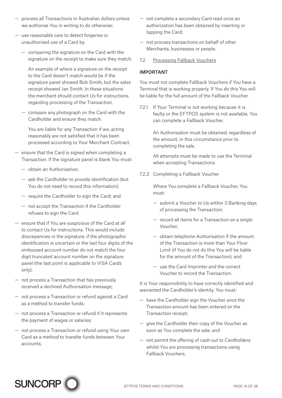- <span id="page-9-0"></span>— process all Transactions in Australian dollars unless we authorise You in writing to do otherwise;
- use reasonable care to detect forgeries or unauthorised use of a Card by:
	- comparing the signature on the Card with the signature on the receipt to make sure they match.

An example of where a signature on the receipt to the Card doesn't match would be if the signature panel showed Bob Smith, but the sales receipt showed Jan Smith. In these situations the merchant should contact Us for instructions regarding processing of the Transaction.

— compare any photograph on the Card with the Cardholder and ensure they match.

You are liable for any Transaction if we, acting reasonably are not satisfied that it has been processed according to Your Merchant Contract.

- ensure that the Card is signed when completing a Transaction. If the signature panel is blank You must:
	- obtain an Authorisation;
	- ask the Cardholder to provide identification (but You do not need to record this information);
	- require the Cardholder to sign the Card; and
	- not accept the Transaction if the Cardholder refuses to sign the Card.
- ensure that if You are suspicious of the Card at all to contact Us for instructions. This would include discrepancies in the signature, if the photographic identification is uncertain or the last four digits of the embossed account number do not match the four digit truncated account number on the signature panel (the last point is applicable to VISA Cards only);
- not process a Transaction that has previously received a declined Authorisation message;
- not process a Transaction or refund against a Card as a method to transfer funds;
- not process a Transaction or refund if it represents the payment of wages or salaries;
- not process a Transaction or refund using Your own Card as a method to transfer funds between Your accounts;
- not complete a secondary Card read once an authorization has been obtained by inserting or tapping the Card;
- not process transactions on behalf of other Merchants, businesses or people.
- 7.2 Processing Fallback Vouchers

#### IMPORTANT

You must not complete Fallback Vouchers if You have a Terminal that is working properly. If You do this You will be liable for the full amount of the Fallback Voucher.

7.2.1 If Your Terminal is not working because it is faulty or the EFTPOS system is not available, You can complete a Fallback Voucher.

> An Authorisation must be obtained, regardless of the amount, in this circumstance prior to completing the sale.

All attempts must be made to use the Terminal when accepting Transactions.

7.2.2 Completing a Fallback Voucher

Where You complete a Fallback Voucher, You must:

- submit a Voucher to Us within 3 Banking days of processing the Transaction;
- record all items for a Transaction on a single Voucher;
- obtain telephone Authorisation if the amount of the Transaction is more than Your Floor Limit (if You do not do this You will be liable for the amount of the Transaction); and
- use the Card Imprinter and the correct Voucher to record the Transaction.

It is Your responsibility to have correctly identified and warranted the Cardholder's identity. You must:

- have the Cardholder sign the Voucher once the Transaction amount has been entered on the Transaction receipt;
- give the Cardholder their copy of the Voucher as soon as You complete the sale; and
- not permit the offering of cash out to Cardholders whilst You are processing transactions using Fallback Vouchers.

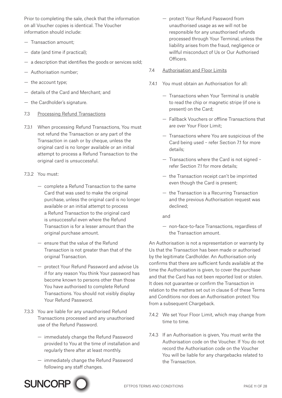<span id="page-10-0"></span>Prior to completing the sale, check that the information on all Voucher copies is identical. The Voucher information should include:

- Transaction amount;
- date (and time if practical);
- a description that identifies the goods or services sold;
- Authorisation number;
- the account type;
- details of the Card and Merchant; and
- the Cardholder's signature.
- 7.3 Processing Refund Transactions
- 7.3.1 When processing Refund Transactions, You must not refund the Transaction or any part of the Transaction in cash or by cheque, unless the original card is no longer available or an initial attempt to process a Refund Transaction to the original card is unsuccessful.
- 7.3.2 You must:
	- complete a Refund Transaction to the same Card that was used to make the original purchase, unless the original card is no longer available or an initial attempt to process a Refund Transaction to the original card is unsuccessful even where the Refund Transaction is for a lesser amount than the original purchase amount.
	- ensure that the value of the Refund Transaction is not greater than that of the original Transaction.
	- protect Your Refund Password and advise Us if for any reason You think Your password has become known to persons other than those You have authorised to complete Refund Transactions. You should not visibly display Your Refund Password.
- 7.3.3 You are liable for any unauthorised Refund Transactions processed and any unauthorised use of the Refund Password.
	- immediately change the Refund Password provided to You at the time of installation and regularly there after at least monthly.
	- immediately change the Refund Password following any staff changes.
- protect Your Refund Password from unauthorised usage as we will not be responsible for any unauthorised refunds processed through Your Terminal, unless the liability arises from the fraud, negligence or willful misconduct of Us or Our Authorised **Officers**
- 7.4 Authorisation and Floor Limits
- 7.4.1 You must obtain an Authorisation for all:
	- Transactions when Your Terminal is unable to read the chip or magnetic stripe (if one is present) on the Card;
	- Fallback Vouchers or offline Transactions that are over Your Floor Limit;
	- Transactions where You are suspicious of the Card being used – refer Section 7.1 for more details;
	- Transactions where the Card is not signed refer Section 7.1 for more details;
	- the Transaction receipt can't be imprinted even though the Card is present;
	- the Transaction is a Recurring Transaction and the previous Authorisation request was declined;
	- and
	- non-face-to-face Transactions, regardless of the Transaction amount.

An Authorisation is not a representation or warranty by Us that the Transaction has been made or authorised by the legitimate Cardholder. An Authorisation only confirms that there are sufficient funds available at the time the Authorisation is given, to cover the purchase and that the Card has not been reported lost or stolen. It does not guarantee or confirm the Transaction in relation to the matters set out in clause 6 of these Terms and Conditions nor does an Authorisation protect You from a subsequent Chargeback.

- 7.4.2 We set Your Floor Limit, which may change from time to time.
- 7.4.3 If an Authorisation is given, You must write the Authorisation code on the Voucher. If You do not record the Authorisation code on the Voucher You will be liable for any chargebacks related to the Transaction.

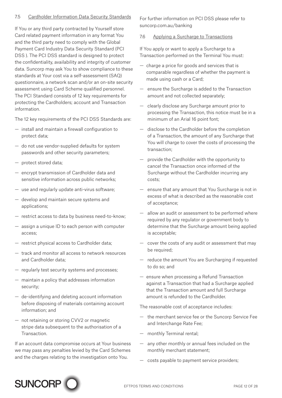#### <span id="page-11-0"></span>7.5 Cardholder Information Data Security Standards

If You or any third party contracted by Yourself store Card related payment information in any format You and the third party need to comply with the Global Payment Card Industry Data Security Standard (PCI DSS ). The PCI DSS standard is designed to protect the confidentiality, availability and integrity of customer data. Suncorp may ask You to show compliance to these standards at Your cost via a self-assessment (SAQ) questionnaire, a network scan and/or an on-site security assessment using Card Scheme qualified personnel. The PCI Standard consists of 12 key requirements for protecting the Cardholders; account and Transaction information.

The 12 key requirements of the PCI DSS Standards are:

- install and maintain a firewall configuration to protect data;
- do not use vendor-supplied defaults for system passwords and other security parameters;
- protect stored data;
- encrypt transmission of Cardholder data and sensitive information across public networks;
- use and regularly update anti-virus software;
- develop and maintain secure systems and applications;
- restrict access to data by business need-to-know;
- assign a unique ID to each person with computer access;
- restrict physical access to Cardholder data;
- track and monitor all access to network resources and Cardholder data;
- regularly test security systems and processes;
- maintain a policy that addresses information security;
- de-identifying and deleting account information before disposing of materials containing account information; and
- not retaining or storing CVV2 or magnetic stripe data subsequent to the authorisation of a Transaction.

If an account data compromise occurs at Your business we may pass any penalties levied by the Card Schemes and the charges relating to the investigation onto You.

For further information on PCI DSS please refer to suncorp.com.au/banking

7.6 Applying a Surcharge to Transactions

If You apply or want to apply a Surcharge to a Transaction performed on the Terminal You must:

- charge a price for goods and services that is comparable regardless of whether the payment is made using cash or a Card;
- ensure the Surcharge is added to the Transaction amount and not collected separately;
- clearly disclose any Surcharge amount prior to processing the Transaction, this notice must be in a minimum of an Arial 16 point font;
- disclose to the Cardholder before the completion of a Transaction, the amount of any Surcharge that You will charge to cover the costs of processing the transaction;
- provide the Cardholder with the opportunity to cancel the Transaction once informed of the Surcharge without the Cardholder incurring any costs;
- ensure that any amount that You Surcharge is not in excess of what is described as the reasonable cost of acceptance;
- allow an audit or assessment to be performed where required by any regulator or government body to determine that the Surcharge amount being applied is acceptable;
- cover the costs of any audit or assessment that may be required;
- reduce the amount You are Surcharging if requested to do so; and
- ensure when processing a Refund Transaction against a Transaction that had a Surcharge applied that the Transaction amount and full Surcharge amount is refunded to the Cardholder.

The reasonable cost of acceptance includes:

- the merchant service fee or the Suncorp Service Fee and Interchange Rate Fee;
- monthly Terminal rental;
- any other monthly or annual fees included on the monthly merchant statement;
- costs payable to payment service providers;

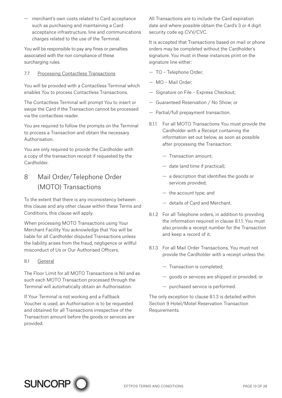<span id="page-12-0"></span>— merchant's own costs related to Card acceptance such as purchasing and maintaining a Card acceptance infrastructure, line and communications charges related to the use of the Terminal.

You will be responsible to pay any fines or penalties associated with the non compliance of these surcharging rules.

#### 7.7 Processing Contactless Transactions

You will be provided with a Contactless Terminal which enables You to process Contactless Transactions.

The Contactless Terminal will prompt You to insert or swipe the Card if the Transaction cannot be processed via the contactless reader.

You are required to follow the prompts on the Terminal to process a Transaction and obtain the necessary Authorisation.

You are only required to provide the Cardholder with a copy of the transaction receipt if requested by the Cardholder.

# 8 Mail Order/Telephone Order (MOTO) Transactions

To the extent that there is any inconsistency between this clause and any other clause within these Terms and Conditions, this clause will apply.

When processing MOTO Transactions using Your Merchant Facility You acknowledge that You will be liable for all Cardholder disputed Transactions unless the liability arises from the fraud, negligence or willful misconduct of Us or Our Authorised Officers.

#### 8.1 General

The Floor Limit for all MOTO Transactions is Nil and as such each MOTO Transaction processed through the Terminal will automatically obtain an Authorisation.

If Your Terminal is not working and a Fallback Voucher is used, an Authorisation is to be requested and obtained for all Transactions irrespective of the Transaction amount before the goods or services are provided.

All Transactions are to include the Card expiration date and where possible obtain the Card's 3 or 4 digit security code eg CVV/CVC.

It is accepted that Transactions based on mail or phone orders may be completed without the Cardholder's signature. You must in these instances print on the signature line either:

- TO Telephone Order;
- MO Mail Order;
- Signature on File Express Checkout;
- Guaranteed Reservation / No Show; or
- Partial/full prepayment transaction.
- 8.1.1 For all MOTO Transactions You must provide the Cardholder with a Receipt containing the information set out below, as soon as possible after processing the Transaction:
	- Transaction amount;
	- date (and time if practical);
	- a description that identifies the goods or services provided;
	- the account type; and
	- details of Card and Merchant.
- 8.1.2 For all Telephone orders, in addition to providing the information required in clause 8.1.1, You must also provide a receipt number for the Transaction and keep a record of it.
- 8.1.3 For all Mail Order Transactions, You must not provide the Cardholder with a receipt unless the:
	- Transaction is completed;
	- goods or services are shipped or provided; or
	- purchased service is performed.

The only exception to clause 8.1.3 is detailed within Section 9 Hotel/Motel Reservation Transaction Requirements.

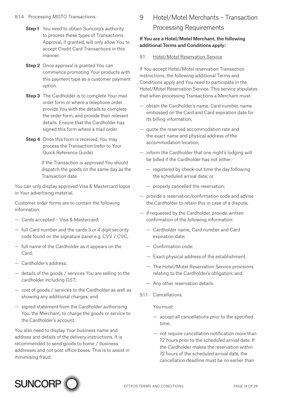#### <span id="page-13-0"></span>8.1.4 Processing MOTO Transactions:

- **Step 1** You need to obtain Suncorp's authority to process these types of Transactions. Approval, if granted, will only allow You to accept Credit Card Transactions in this manner.
- **Step 2** Once approval is granted You can commence promoting Your products with this payment type as a customer payment option.
- **Step 3** The Cardholder is to complete Your mail order form or where a telephone order provide You with the details to complete the order form, and provide their relevant details. Ensure that the Cardholder has signed this form where a mail order.
- **Step 4** Once this form is received, You may process the Transaction (refer to Your Quick Reference Guide).

If the Transaction is approved You should dispatch the goods on the same day as the Transaction date.

You can only display approved Visa & Mastercard logos in Your advertising material.

Customer order forms are to contain the following information:

- Cards accepted Visa & Mastercard;
- full Card number and the cards 3 or 4 digit security code found on the signature panel e.g. CVV / CVC;
- full name of the Cardholder as it appears on the Card;
- Cardholder's address;
- details of the goods / services You are selling to the cardholder including GST;
- cost of goods / services to the Cardholder as well as showing any additional charges; and
- signed statement from the Cardholder authorising You, the Merchant, to charge the goods or service to the Cardholder's account.

You also need to display Your business name and address and details of the delivery instructions. It is recommended to send goods to home / business addresses and not post office boxes. This is to assist in minimising fraud.

# 9 Hotel/Motel Merchants – Transaction Processing Requirements

#### If You are a Hotel/Motel Merchant, the following additional Terms and Conditions apply:

9.1 Hotel/Motel Reservation Service

If You accept Hotel/Motel reservation Transaction instructions, the following additional Terms and Conditions apply and You need to participate in the Hotel/Motel Reservation Service. This service stipulates that when processing Transactions a Merchant must:

- obtain the Cardholder's name, Card number, name embossed on the Card and Card expiration date for its billing information;
- quote the reserved accommodation rate and the exact name and physical address of the accommodation location;
- inform the Cardholder that one night's lodging will be billed if the Cardholder has not either:
	- registered by check-out time the day following the scheduled arrival date; or
	- properly cancelled the reservation;
- provide a reservation/confirmation code and advise the Cardholder to retain this in case of a dispute;
- $-$  if requested by the Cardholder, provide written confirmation of the following information:
	- Cardholder name, Card number and Card expiration date;
	- Confirmation code;
	- Exact physical address of the establishment;
	- The Hotel/Motel Reservation Service provisions relating to the Cardholder's obligation; and
	- Any other reservation details.
- 9.1.1 Cancellations.

You must:

- accept all cancellations prior to the specified time;
- not require cancellation notification more than 72 hours prior to the scheduled arrival date. If the Cardholder makes the reservation within 72 hours of the scheduled arrival date, the cancellation deadline must be no earlier than

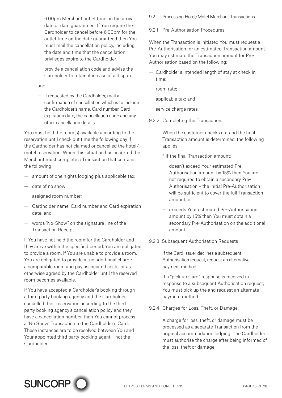<span id="page-14-0"></span>6.00pm Merchant outlet time on the arrival date or date guaranteed. If You require the Cardholder to cancel before 6.00pm for the outlet time on the date guaranteed then You must mail the cancellation policy, including the date and time that the cancellation privileges expire to the Cardholder;

— provide a cancellation code and advise the Cardholder to retain it in case of a dispute;

#### and

— if requested by the Cardholder, mail a confirmation of cancellation which is to include the Cardholder's name, Card number, Card expiration date, the cancellation code and any other cancellation details.

You must hold the room(s) available according to the reservation until check out time the following day if the Cardholder has not claimed or cancelled the hotel/ motel reservation. When this situation has occurred the Merchant must complete a Transaction that contains the following:

- amount of one nights lodging plus applicable tax;
- date of no show;
- assigned room number;
- Cardholder name, Card number and Card expiration date; and
- words 'No-Show" on the signature line of the Transaction Receipt.

If You have not held the room for the Cardholder and they arrive within the specified period, You are obligated to provide a room. If You are unable to provide a room, You are obligated to provide at no additional charge a comparable room and pay associated costs, or as otherwise agreed by the Cardholder until the reserved room becomes available.

If You have accepted a Cardholder's booking through a third party booking agency and the Cardholder cancelled their reservation according to the third party booking agency's cancellation policy and they have a cancellation number, then You cannot process a 'No Show' Transaction to the Cardholder's Card. These instances are to be resolved between You and Your appointed third party booking agent – not the Cardholder.

#### 9.2 Processing Hotel/Motel Merchant Transactions

#### 9.2.1 Pre-Authorisation Procedures

When the Transaction is initiated You must request a Pre-Authorisation for an estimated Transaction amount. You may estimate the Transaction amount for Pre-Authorisation based on the following:

- Cardholder's intended length of stay at check in time;
- room rate;
- applicable tax; and
- service charge rates.
- 9.2.2 Completing the Transaction.

When the customer checks out and the final Transaction amount is determined, the following applies:

- \* If the final Transaction amount:
- doesn't exceed Your estimated Pre-Authorisation amount by 15% then You are not required to obtain a secondary Pre-Authorisation – the initial Pre-Authorisation will be sufficient to cover the full Transaction amount; or
- exceeds Your estimated Pre-Authorisation amount by 15% then You must obtain a secondary Pre-Authorisation on the additional amount.
- 9.2.3 Subsequent Authorisation Requests

If the Card Issuer declines a subsequent Authorisation request, request an alternative payment method.

If a "pick up Card" response is received in response to a subsequent Authorisation request, You must pick up the and request an alternate payment method.

9.2.4 Charges for Loss, Theft, or Damage.

A charge for loss, theft, or damage must be processed as a separate Transaction from the original accommodation lodging. The Cardholder must authorise the charge after being informed of the loss, theft or damage.

# **SUNCORP**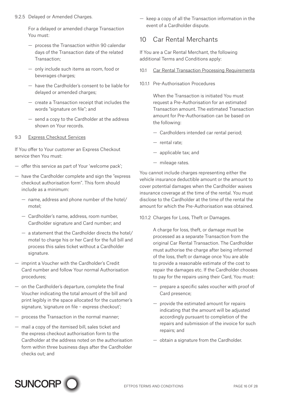#### <span id="page-15-0"></span>9.2.5 Delayed or Amended Charges.

For a delayed or amended charge Transaction You must:

- process the Transaction within 90 calendar days of the Transaction date of the related Transaction;
- only include such items as room, food or beverages charges;
- have the Cardholder's consent to be liable for delayed or amended charges;
- create a Transaction receipt that includes the words "signature on file"; and
- send a copy to the Cardholder at the address shown on Your records.

#### 9.3 Express Checkout Services

If You offer to Your customer an Express Checkout service then You must:

- offer this service as part of Your 'welcome pack';
- have the Cardholder complete and sign the "express checkout authorisation form". This form should include as a minimum:
	- name, address and phone number of the hotel/ motel;
	- Cardholder's name, address, room number, Cardholder signature and Card number; and
	- a statement that the Cardholder directs the hotel/ motel to charge his or her Card for the full bill and process this sales ticket without a Cardholder signature.
- imprint a Voucher with the Cardholder's Credit Card number and follow Your normal Authorisation procedures;
- on the Cardholder's departure, complete the final Voucher indicating the total amount of the bill and print legibly in the space allocated for the customer's signature, 'signature on file – express checkout';
- process the Transaction in the normal manner;
- mail a copy of the itemised bill, sales ticket and the express checkout authorisation form to the Cardholder at the address noted on the authorisation form within three business days after the Cardholder checks out; and

— keep a copy of all the Transaction information in the event of a Cardholder dispute.

# 10 Car Rental Merchants

If You are a Car Rental Merchant, the following additional Terms and Conditions apply:

- 10.1 Car Rental Transaction Processing Requirements
- 10.1.1 Pre-Authorisation Procedures

When the Transaction is initiated You must request a Pre-Authorisation for an estimated Transaction amount. The estimated Transaction amount for Pre-Authorisation can be based on the following:

- Cardholders intended car rental period;
- rental rate;
- applicable tax; and
- mileage rates.

You cannot include charges representing either the vehicle insurance deductible amount or the amount to cover potential damages when the Cardholder waives insurance coverage at the time of the rental. You must disclose to the Cardholder at the time of the rental the amount for which the Pre-Authorisation was obtained.

10.1.2 Charges for Loss, Theft or Damages.

A charge for loss, theft, or damage must be processed as a separate Transaction from the original Car Rental Transaction. The Cardholder must authorise the charge after being informed of the loss, theft or damage once You are able to provide a reasonable estimate of the cost to repair the damages etc. If the Cardholder chooses to pay for the repairs using their Card, You must:

- prepare a specific sales voucher with proof of Card presence;
- provide the estimated amount for repairs indicating that the amount will be adjusted accordingly pursuant to completion of the repairs and submission of the invoice for such repairs; and
- obtain a signature from the Cardholder.

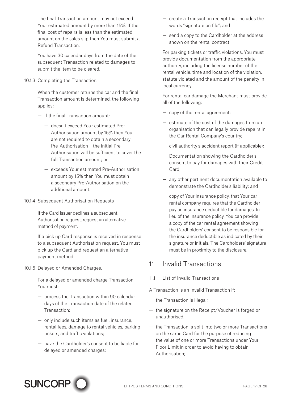<span id="page-16-0"></span>The final Transaction amount may not exceed Your estimated amount by more than 15%. If the final cost of repairs is less than the estimated amount on the sales slip then You must submit a Refund Transaction.

You have 30 calendar days from the date of the subsequent Transaction related to damages to submit the item to be cleared.

10.1.3 Completing the Transaction.

When the customer returns the car and the final Transaction amount is determined, the following applies:

- If the final Transaction amount:
	- doesn't exceed Your estimated Pre-Authorisation amount by 15% then You are not required to obtain a secondary Pre-Authorisation – the initial Pre-Authorisation will be sufficient to cover the full Transaction amount; or
	- exceeds Your estimated Pre-Authorisation amount by 15% then You must obtain a secondary Pre-Authorisation on the additional amount.
- 10.1.4 Subsequent Authorisation Requests

If the Card Issuer declines a subsequent Authorisation request, request an alternative method of payment.

If a pick up Card response is received in response to a subsequent Authorisation request, You must pick up the Card and request an alternative payment method.

10.1.5 Delayed or Amended Charges.

**SUNCORP** 

For a delayed or amended charge Transaction You must:

- process the Transaction within 90 calendar days of the Transaction date of the related Transaction;
- only include such items as fuel, insurance, rental fees, damage to rental vehicles, parking tickets, and traffic violations;
- have the Cardholder's consent to be liable for delayed or amended charges:
- create a Transaction receipt that includes the words "signature on file"; and
- send a copy to the Cardholder at the address shown on the rental contract.

For parking tickets or traffic violations, You must provide documentation from the appropriate authority, including the license number of the rental vehicle, time and location of the violation, statute violated and the amount of the penalty in local currency.

For rental car damage the Merchant must provide all of the following:

- copy of the rental agreement;
- estimate of the cost of the damages from an organisation that can legally provide repairs in the Car Rental Company's country;
- civil authority's accident report (if applicable);
- Documentation showing the Cardholder's consent to pay for damages with their Credit Card;
- any other pertinent documentation available to demonstrate the Cardholder's liability; and
- copy of Your insurance policy, that Your car rental company requires that the Cardholder pay an insurance deductible for damages. In lieu of the insurance policy, You can provide a copy of the car rental agreement showing the Cardholders' consent to be responsible for the insurance deductible as indicated by their signature or initials. The Cardholders' signature must be in proximity to the disclosure.

## 11 Invalid Transactions

- 11.1 List of Invalid Transactions
- A Transaction is an Invalid Transaction if:
- the Transaction is illegal;
- the signature on the Receipt/Voucher is forged or unauthorised;
- the Transaction is split into two or more Transactions on the same Card for the purpose of reducing the value of one or more Transactions under Your Floor Limit in order to avoid having to obtain Authorisation;

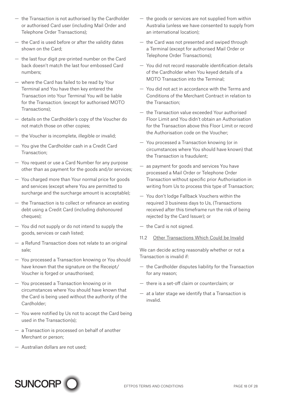- <span id="page-17-0"></span>— the Transaction is not authorised by the Cardholder or authorised Card user (including Mail Order and Telephone Order Transactions);
- the Card is used before or after the validity dates shown on the Card;
- the last four digit pre-printed number on the Card back doesn't match the last four embossed Card numbers;
- where the Card has failed to be read by Your Terminal and You have then key entered the Transaction into Your Terminal You will be liable for the Transaction. (except for authorised MOTO Transactions);
- details on the Cardholder's copy of the Voucher do not match those on other copies;
- the Voucher is incomplete, illegible or invalid;
- You give the Cardholder cash in a Credit Card Transaction;
- You request or use a Card Number for any purpose other than as payment for the goods and/or services;
- You charged more than Your normal price for goods and services (except where You are permitted to surcharge and the surcharge amount is acceptable);
- the Transaction is to collect or refinance an existing debt using a Credit Card (including dishonoured cheques);
- You did not supply or do not intend to supply the goods, services or cash listed;
- a Refund Transaction does not relate to an original sale;
- You processed a Transaction knowing or You should have known that the signature on the Receipt/ Voucher is forged or unauthorised;
- You processed a Transaction knowing or in circumstances where You should have known that the Card is being used without the authority of the Cardholder;
- You were notified by Us not to accept the Card being used in the Transaction(s);
- a Transaction is processed on behalf of another Merchant or person;
- Australian dollars are not used;
- the goods or services are not supplied from within Australia (unless we have consented to supply from an international location);
- the Card was not presented and swiped through a Terminal (except for authorised Mail Order or Telephone Order Transactions);
- You did not record reasonable identification details of the Cardholder when You keyed details of a MOTO Transaction into the Terminal;
- You did not act in accordance with the Terms and Conditions of the Merchant Contract in relation to the Transaction;
- the Transaction value exceeded Your authorised Floor Limit and You didn't obtain an Authorisation for the Transaction above this Floor Limit or record the Authorisation code on the Voucher;
- You processed a Transaction knowing (or in circumstances where You should have known) that the Transaction is fraudulent;
- as payment for goods and services You have processed a Mail Order or Telephone Order Transaction without specific prior Authorisation in writing from Us to process this type of Transaction;
- You don't lodge Fallback Vouchers within the required 3 business days to Us, (Transactions received after this timeframe run the risk of being rejected by the Card Issuer); or
- the Card is not signed.
- 11.2 Other Transactions Which Could be Invalid

We can decide acting reasonably whether or not a Transaction is invalid if:

- the Cardholder disputes liability for the Transaction for any reason;
- there is a set-off claim or counterclaim; or
- at a later stage we identify that a Transaction is invalid.

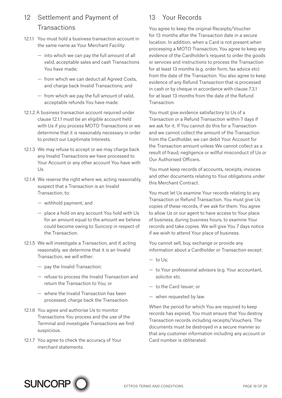# <span id="page-18-0"></span>12 Settlement and Payment of **Transactions**

- 12.1.1 You must hold a business transaction account in the same name as Your Merchant Facility:
	- into which we can pay the full amount of all valid, acceptable sales and cash Transactions You have made;
	- from which we can deduct all Agreed Costs, and charge back Invalid Transactions; and
	- from which we pay the full amount of valid, acceptable refunds You have made.
- 12.1.2 A business transaction account required under clause 12.1.1 must be an eligible account held with Us if you process MOTO Transactions or we determine that it is reasonably necessary in order to protect our Legitimate Interests.
- 12.1.3 We may refuse to accept or we may charge back any Invalid Transactions we have processed to Your Account or any other account You have with Us.
- 12.1.4 We reserve the right where we, acting reasonably, suspect that a Transaction is an Invalid Transaction, to:
	- withhold payment; and
	- place a hold on any account You hold with Us for an amount equal to the amount we believe could become owing to Suncorp in respect of the Transaction.
- 12.1.5 We will investigate a Transaction, and if, acting reasonably, we determine that it is an Invalid Transaction, we will either:
	- pay the Invalid Transaction;
	- refuse to process the Invalid Transaction and return the Transaction to You; or
	- where the Invalid Transaction has been processed, charge back the Transaction.
- 12.1.6 You agree and authorise Us to monitor Transactions You process and the use of the Terminal and investigate Transactions we find suspicious.
- 12.1.7 You agree to check the accuracy of Your merchant statements.

# 13 Your Records

You agree to keep the original Receipts/Voucher for 13 months after the Transaction date in a secure location. In addition, when a Card is not present when processing a MOTO Transaction, You agree to keep any evidence of the Cardholder's request to order the goods or services and instructions to process the Transaction for at least 13 months (e.g. order form, fax advice etc) from the date of the Transaction. You also agree to keep evidence of any Refund Transaction that is processed in cash or by cheque in accordance with clause 7.3.1 for at least 13 months from the date of the Refund **Transaction** 

You must give evidence satisfactory to Us of a Transaction or a Refund Transaction within 7 days if we ask for it. If You cannot do this for a Transaction and we cannot collect the amount of the Transaction from the Cardholder, we can debit Your Account for the Transaction amount unless We cannot collect as a result of fraud, negligence or willful misconduct of Us or Our Authorised Officers.

You must keep records of accounts, receipts, invoices and other documents relating to Your obligations under this Merchant Contract.

You must let Us examine Your records relating to any Transaction or Refund Transaction. You must give Us copies of these records, if we ask for them. You agree to allow Us or our agent to have access to Your place of business, during business hours, to examine Your records and take copies. We will give You 7 days notice if we wish to attend Your place of business.

You cannot sell, buy, exchange or provide any information about a Cardholder or Transaction except:

- to Us;
- to Your professional advisors (e.g. Your accountant, solicitor etc.
- to the Card Issuer; or
- when requested by law.

When the period for which You are required to keep records has expired, You must ensure that You destroy Transaction records including receipts/Vouchers. The documents must be destroyed in a secure manner so that any customer information including any account or Card number is obliterated.

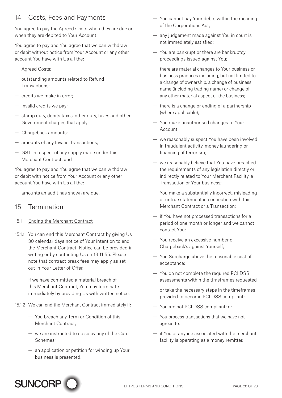# <span id="page-19-0"></span>14 Costs, Fees and Payments

You agree to pay the Agreed Costs when they are due or when they are debited to Your Account.

You agree to pay and You agree that we can withdraw or debit without notice from Your Account or any other account You have with Us all the:

- Agreed Costs;
- outstanding amounts related to Refund Transactions;
- credits we make in error;
- invalid credits we pay;
- stamp duty, debits taxes, other duty, taxes and other Government charges that apply;
- Chargeback amounts;
- amounts of any Invalid Transactions;
- GST in respect of any supply made under this Merchant Contract; and

You agree to pay and You agree that we can withdraw or debit with notice from Your Account or any other account You have with Us all the:

— amounts an audit has shown are due.

### 15 Termination

#### 15.1 Ending the Merchant Contract

15.1.1 You can end this Merchant Contract by giving Us 30 calendar days notice of Your intention to end the Merchant Contract. Notice can be provided in writing or by contacting Us on 13 11 55. Please note that contract break fees may apply as set out in Your Letter of Offer.

> If we have committed a material breach of this Merchant Contract, You may terminate immediately by providing Us with written notice.

- 15.1.2 We can end the Merchant Contract immediately if:
	- You breach any Term or Condition of this Merchant Contract;
	- we are instructed to do so by any of the Card Schemes;
	- an application or petition for winding up Your business is presented;
- You cannot pay Your debts within the meaning of the Corporations Act;
- any judgement made against You in court is not immediately satisfied;
- You are bankrupt or there are bankruptcy proceedings issued against You;
- there are material changes to Your business or business practices including, but not limited to, a change of ownership, a change of business name (including trading name) or change of any other material aspect of the business;
- $-$  there is a change or ending of a partnership (where applicable);
- You make unauthorised changes to Your Account;
- we reasonably suspect You have been involved in fraudulent activity, money laundering or financing of terrorism;
- we reasonably believe that You have breached the requirements of any legislation directly or indirectly related to Your Merchant Facility, a Transaction or Your business;
- You make a substantially incorrect, misleading or untrue statement in connection with this Merchant Contract or a Transaction;
- if You have not processed transactions for a period of one month or longer and we cannot contact You;
- You receive an excessive number of Chargeback's against Yourself;
- You Surcharge above the reasonable cost of acceptance;
- You do not complete the required PCI DSS assessments within the timeframes requested
- $-$  or take the necessary steps in the timeframes provided to become PCI DSS compliant;
- You are not PCI DSS compliant; or
- You process transactions that we have not agreed to.
- if You or anyone associated with the merchant facility is operating as a money remitter.

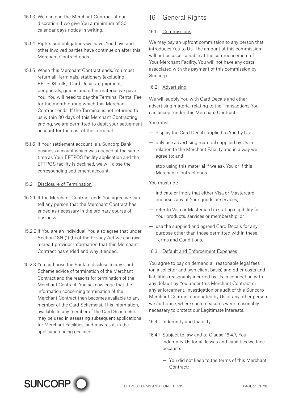- <span id="page-20-0"></span>15.1.3 We can end the Merchant Contract at our discretion if we give You a minimum of 30 calendar days notice in writing.
- 15.1.4 Rights and obligations we have, You have and other involved parties have continue on after this Merchant Contract ends.
- 15.1.5 When this Merchant Contract ends, You must return all Terminals, stationery (excluding EFTPOS rolls), Card Decals, equipment, peripherals, guides and other material we gave You. You will need to pay the Terminal Rental Fee for the month during which this Merchant Contract ends. If the Terminal is not returned to us within 30 days of this Merchant Contracting ending, we are permitted to debit your settlement account for the cost of the Terminal.
- 15.1.6 If Your settlement account is a Suncorp Bank business account which was opened at the same time as Your EFTPOS facility application and the EFTPOS facility is declined, we will close the corresponding settlement account.

#### 15.2 Disclosure of Termination

- 15.2.1 If the Merchant Contract ends You agree we can tell any person that the Merchant Contract has ended as necessary in the ordinary course of business.
- 15.2.2 If You are an individual, You also agree that under Section 18N (1) (b) of the Privacy Act we can give a credit provider information that this Merchant Contract has ended and why it ended.
- 15.2.3 You authorise the Bank to disclose to any Card Scheme advice of termination of the Merchant Contract and the reasons for termination of the Merchant Contract. You acknowledge that the information concerning termination of the Merchant Contract then becomes available to any member of the Card Scheme(s). This information, available to any member of the Card Scheme(s), may be used in assessing subsequent applications for Merchant Facilities, and may result in the application being declined.

## 16 General Rights

#### 16.1 Commissions

We may pay an upfront commission to any person that introduces You to Us. The amount of this commission will not be ascertainable at the commencement of Your Merchant Facility. You will not have any costs associated with the payment of this commission by Suncorp.

#### 16.2 Advertising

We will supply You with Card Decals and other advertising material relating to the Transactions You can accept under this Merchant Contract.

#### You must:

- display the Card Decal supplied to You by Us;
- only use advertising material supplied by Us in relation to the Merchant Facility and in a way we agree to; and
- stop using this material if we ask You or if this Merchant Contract ends.

#### You must not:

- indicate or imply that either Visa or Mastercard endorses any of Your goods or services;
- refer to Visa or Mastercard in stating eligibility for Your products, services or membership; or
- use the supplied and agreed Card Decals for any purpose other than those permitted within these Terms and Conditions.

#### 16.3 Default and Enforcement Expenses

You agree to pay on demand all reasonable legal fees (on a solicitor and own client basis) and other costs and liabilities reasonably incurred by Us in connection with any default by You under this Merchant Contract or any enforcement, investigation or audit of this Suncorp Merchant Contract conducted by Us or any other person we authorise, where such measures were reasonably necessary to protect our Legitimate Interests.

- 16.4 Indemnity and Liability
- 16.4.1 Subject to law and to Clause 16.4.7, You indemnify Us for all losses and liabilities we face because:
	- You did not keep to the terms of this Merchant Contract;

# **SUNCORP**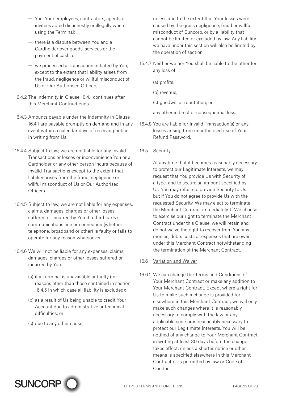- <span id="page-21-0"></span>— You, Your employees, contractors, agents or invitees acted dishonestly or illegally when using the Terminal;
- there is a dispute between You and a Cardholder over goods, services or the payment of cash; or
- we processed a Transaction initiated by You, except to the extent that liability arises from the fraud, negligence or willful misconduct of Us or Our Authorised Officers.
- 16.4.2 The indemnity in Clause 16.4.1 continues after this Merchant Contract ends.
- 16.4.3 Amounts payable under the indemnity in Clause 16.4.1 are payable promptly on demand and in any event within 5 calendar days of receiving notice in writing from Us.
- 16.4.4 Subject to law, we are not liable for any Invalid Transactions or losses or inconvenience You or a Cardholder or any other person incurs because of Invalid Transactions except to the extent that liability arises from the fraud, negligence or willful misconduct of Us or Our Authorised Officers.
- 16.4.5 Subject to law, we are not liable for any expenses, claims, damages, charges or other losses suffered or incurred by You if a third party's communications line or connection (whether telephone, broadband or other) is faulty or fails to operate for any reason whatsoever.
- 16.4.6 We will not be liable for any expenses, claims, damages, charges or other losses suffered or incurred by You:
	- (a) if a Terminal is unavailable or faulty (for reasons other than those contained in section 16.4.5 in which case all liability is excluded);
	- (b) as a result of Us being unable to credit Your Account due to administrative or technical difficulties; or
	- (c) due to any other cause;

unless and to the extent that Your losses were caused by the gross negligence, fraud or willful misconduct of Suncorp, or by a liability that cannot be limited or excluded by law. Any liability we have under this section will also be limited by the operation of section.

- 16.4.7 Neither we nor You shall be liable to the other for any loss of:
	- (a) profits;
	- (b) revenue;
	- (c) goodwill or reputation; or

any other indirect or consequential loss.

- 16.4.8 You are liable for Invalid Transaction(s) or any losses arising from unauthorised use of Your Refund Password.
- 16.5 Security

At any time that it becomes reasonably necessary to protect our Legitimate Interests, we may request that You provide Us with Security of a type, and to secure an amount specified by Us. You may refuse to provide Security to Us but if You do not agree to provide Us with the requested Security, We may elect to terminate the Merchant Contract immediately. If We choose to exercise our right to terminate the Merchant Contract under this Clause, we will retain and do not waive the right to recover from You any monies, debts costs or expenses that are owed under this Merchant Contract notwithstanding the termination of the Merchant Contract.

- 16.6 Variation and Waiver
- 16.6.1 We can change the Terms and Conditions of Your Merchant Contract or make any addition to Your Merchant Contract. Except where a right for Us to make such a change is provided for elsewhere in this Merchant Contract, we will only make such changes where it is reasonably necessary to comply with the law or any applicable code or is reasonably necessary to protect our Legitimate Interests. You will be notified of any change to Your Merchant Contract in writing at least 30 days before the change takes effect, unless a shorter notice or other means is specified elsewhere in this Merchant Contract or is permitted by law or Code of Conduct.

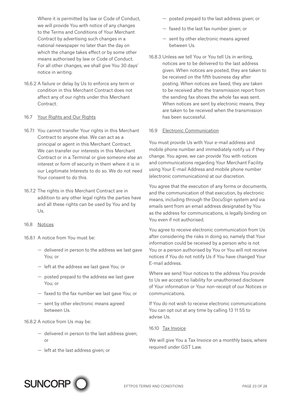<span id="page-22-0"></span>Where it is permitted by law or Code of Conduct, we will provide You with notice of any changes to the Terms and Conditions of Your Merchant Contract by advertising such changes in a national newspaper no later than the day on which the change takes effect or by some other means authorised by law or Code of Conduct. For all other changes, we shall give You 30 days' notice in writing.

16.6.2 A failure or delay by Us to enforce any term or condition in this Merchant Contract does not affect any of our rights under this Merchant Contract.

#### 16.7 Your Rights and Our Rights

- 16.7.1 You cannot transfer Your rights in this Merchant Contract to anyone else. We can act as a principal or agent in this Merchant Contract. We can transfer our interests in this Merchant Contract or in a Terminal or give someone else an interest or form of security in them where it is in our Legitimate Interests to do so. We do not need Your consent to do this.
- 16.7.2 The rights in this Merchant Contract are in addition to any other legal rights the parties have and all these rights can be used by You and by Us.
- 16.8 Notices
- 16.8.1 A notice from You must be:
	- delivered in person to the address we last gave You; or
	- left at the address we last gave You; or
	- posted prepaid to the address we last gave You; or
	- faxed to the fax number we last gave You; or
	- sent by other electronic means agreed between Us.

#### 16.8.2 A notice from Us may be:

- delivered in person to the last address given; or
- left at the last address given; or
- posted prepaid to the last address given; or
- faxed to the last fax number given; or
- sent by other electronic means agreed between Us.
- 16.8.3 Unless we tell You or You tell Us in writing, notices are to be delivered to the last address given. When notices are posted, they are taken to be received on the fifth business day after posting. When notices are faxed, they are taken to be received after the transmission report from the sending fax shows the whole fax was sent. When notices are sent by electronic means, they are taken to be received when the transmission has been successful.

#### 16.9 Electronic Communication

You must provide Us with Your e-mail address and mobile phone number and immediately notify us if they change. You agree, we can provide You with notices and communications regarding Your Merchant Facility using Your E-mail Address and mobile phone number (electronic communications) at our discretion.

You agree that the execution of any forms or documents, and the communication of that execution, by electronic means, including through the DocuSign system and via emails sent from an email address designated by You as the address for communications, is legally binding on You even if not authorised.

You agree to receive electronic communication from Us after considering the risks in doing so, namely that Your information could be received by a person who is not You or a person authorised by You or You will not receive notices if You do not notify Us if You have changed Your E-mail address.

Where we send Your notices to the address You provide to Us we accept no liability for unauthorised disclosure of Your information or Your non-receipt of our Notices or communications.

If You do not wish to receive electronic communications You can opt out at any time by calling 13 11 55 to advise Us.

#### 16.10 Tax Invoice

We will give You a Tax Invoice on a monthly basis, where required under GST Law.

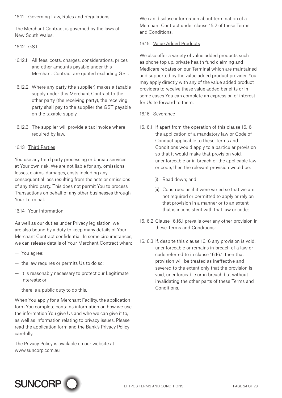#### <span id="page-23-0"></span>16.11 Governing Law, Rules and Regulations

The Merchant Contract is governed by the laws of New South Wales.

#### 16.12 GST

- 16.12.1 All fees, costs, charges, considerations, prices and other amounts payable under this Merchant Contract are quoted excluding GST.
- 16.12.2 Where any party (the supplier) makes a taxable supply under this Merchant Contract to the other party (the receiving party), the receiving party shall pay to the supplier the GST payable on the taxable supply.
- 16.12.3 The supplier will provide a tax invoice where required by law.

#### 16.13 Third Parties

You use any third party processing or bureau services at Your own risk. We are not liable for any, omissions, losses, claims, damages, costs including any consequential loss resulting from the acts or omissions of any third party. This does not permit You to process Transactions on behalf of any other businesses through Your Terminal.

#### 16.14 Your Information

As well as our duties under Privacy legislation, we are also bound by a duty to keep many details of Your Merchant Contract confidential. In some circumstances, we can release details of Your Merchant Contract when:

- You agree;
- the law requires or permits Us to do so;
- it is reasonably necessary to protect our Legitimate Interests; or
- $-$  there is a public duty to do this.

When You apply for a Merchant Facility, the application form You complete contains information on how we use the information You give Us and who we can give it to, as well as information relating to privacy issues. Please read the application form and the Bank's Privacy Policy carefully.

The Privacy Policy is available on our website at www.suncorp.com.au

We can disclose information about termination of a Merchant Contract under clause 15.2 of these Terms and Conditions.

#### 16.15 Value Added Products

We also offer a variety of value added products such as phone top up, private health fund claiming and Medicare rebates on our Terminal which are maintained and supported by the value added product provider. You may apply directly with any of the value added product providers to receive these value added benefits or in some cases You can complete an expression of interest for Us to forward to them.

#### 16.16 Severance

- 16.16.1 If apart from the operation of this clause 16.16 the application of a mandatory law or Code of Conduct applicable to these Terms and Conditions would apply to a particular provision so that it would make that provision void, unenforceable or in breach of the applicable law or code, then the relevant provision would be:
	- (i) Read down; and
	- (ii) Construed as if it were varied so that we are not required or permitted to apply or rely on that provision in a manner or to an extent that is inconsistent with that law or code;
- 16.16.2 Clause 16.16.1 prevails over any other provision in these Terms and Conditions;
- 16.16.3 If, despite this clause 16.16 any provision is void, unenforceable or remains in breach of a law or code referred to in clause 16.16.1, then that provision will be treated as ineffective and severed to the extent only that the provision is void, unenforceable or in breach but without invalidating the other parts of these Terms and Conditions.

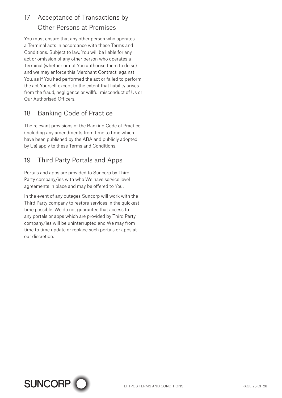# <span id="page-24-0"></span>17 Acceptance of Transactions by Other Persons at Premises

You must ensure that any other person who operates a Terminal acts in accordance with these Terms and Conditions. Subject to law, You will be liable for any act or omission of any other person who operates a Terminal (whether or not You authorise them to do so) and we may enforce this Merchant Contract against You, as if You had performed the act or failed to perform the act Yourself except to the extent that liability arises from the fraud, negligence or willful misconduct of Us or Our Authorised Officers.

# 18 Banking Code of Practice

The relevant provisions of the Banking Code of Practice (including any amendments from time to time which have been published by the ABA and publicly adopted by Us) apply to these Terms and Conditions.

# 19 Third Party Portals and Apps

Portals and apps are provided to Suncorp by Third Party company/ies with who We have service level agreements in place and may be offered to You.

In the event of any outages Suncorp will work with the Third Party company to restore services in the quickest time possible. We do not guarantee that access to any portals or apps which are provided by Third Party company/ies will be uninterrupted and We may from time to time update or replace such portals or apps at our discretion.

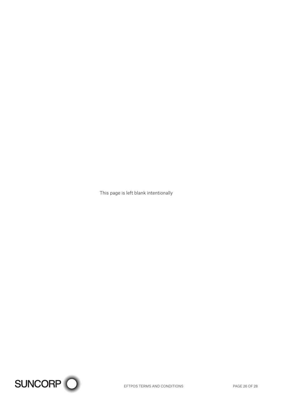This page is left blank intentionally

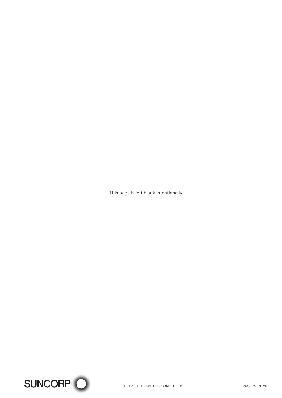This page is left blank intentionally